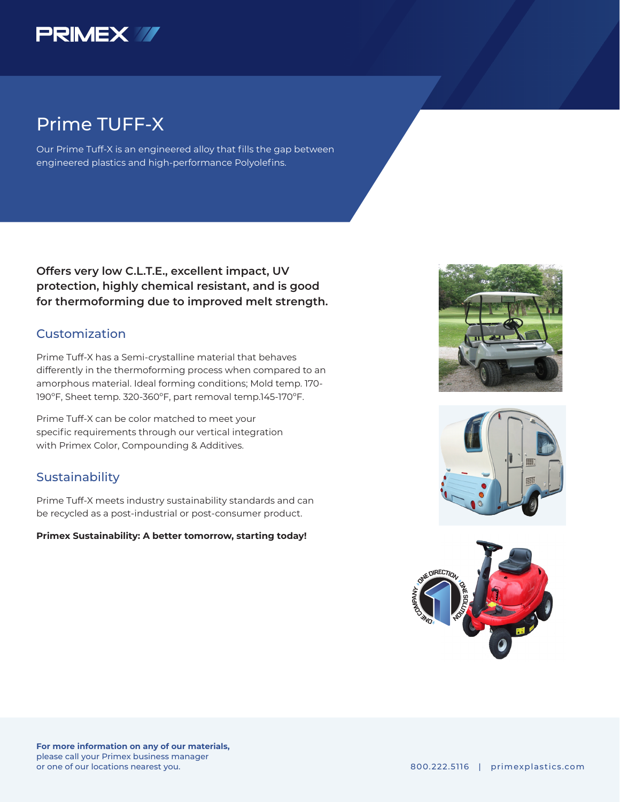

## Prime TUFF-X

Our Prime Tuff-X is an engineered alloy that fills the gap between engineered plastics and high-performance Polyolefins.

**Offers very low C.L.T.E., excellent impact, UV protection, highly chemical resistant, and is good for thermoforming due to improved melt strength.**

### Customization

Prime Tuff-X has a Semi-crystalline material that behaves differently in the thermoforming process when compared to an amorphous material. Ideal forming conditions; Mold temp. 170- 190ºF, Sheet temp. 320-360ºF, part removal temp.145-170ºF.

Prime Tuff-X can be color matched to meet your specific requirements through our vertical integration with Primex Color, Compounding & Additives.

#### **Sustainability**

Prime Tuff-X meets industry sustainability standards and can be recycled as a post-industrial or post-consumer product.

**Primex Sustainability: A better tomorrow, starting today!**